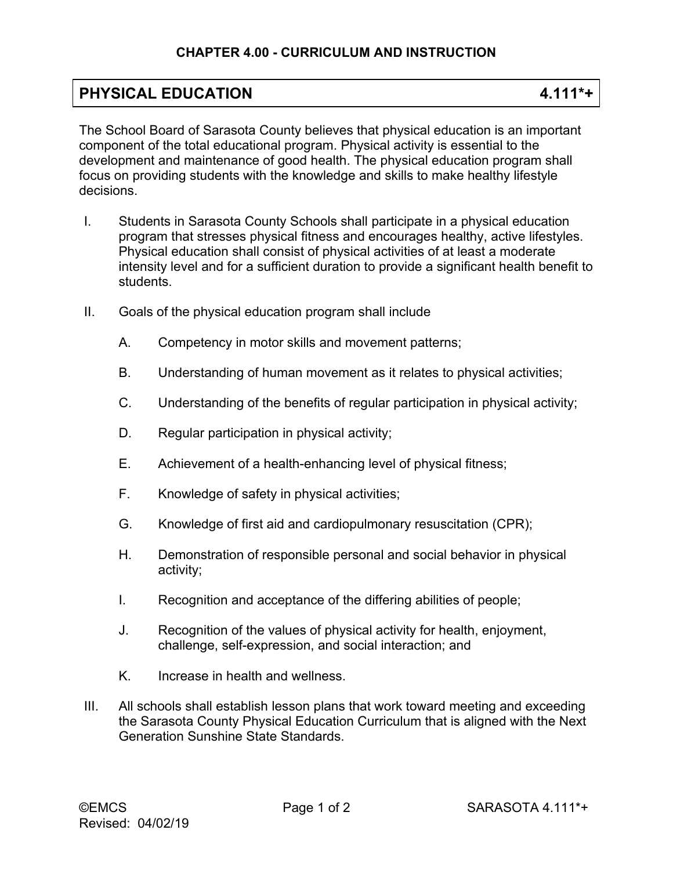## **PHYSICAL EDUCATION 4.111\*+**

The School Board of Sarasota County believes that physical education is an important component of the total educational program. Physical activity is essential to the development and maintenance of good health. The physical education program shall focus on providing students with the knowledge and skills to make healthy lifestyle decisions.

- I. Students in Sarasota County Schools shall participate in a physical education program that stresses physical fitness and encourages healthy, active lifestyles. Physical education shall consist of physical activities of at least a moderate intensity level and for a sufficient duration to provide a significant health benefit to students.
- II. Goals of the physical education program shall include
	- A. Competency in motor skills and movement patterns;
	- B. Understanding of human movement as it relates to physical activities;
	- C. Understanding of the benefits of regular participation in physical activity;
	- D. Regular participation in physical activity;
	- E. Achievement of a health-enhancing level of physical fitness;
	- F. Knowledge of safety in physical activities;
	- G. Knowledge of first aid and cardiopulmonary resuscitation (CPR);
	- H. Demonstration of responsible personal and social behavior in physical activity;
	- I. Recognition and acceptance of the differing abilities of people;
	- J. Recognition of the values of physical activity for health, enjoyment, challenge, self-expression, and social interaction; and
	- K. Increase in health and wellness.
- III. All schools shall establish lesson plans that work toward meeting and exceeding the Sarasota County Physical Education Curriculum that is aligned with the Next Generation Sunshine State Standards.